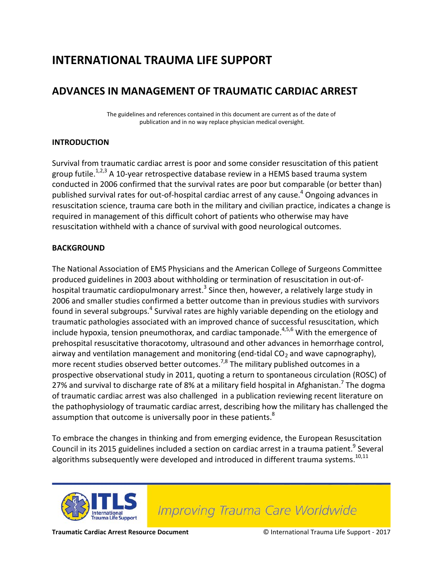## **INTERNATIONAL TRAUMA LIFE SUPPORT**

### **ADVANCES IN MANAGEMENT OF TRAUMATIC CARDIAC ARREST**

The guidelines and references contained in this document are current as of the date of publication and in no way replace physician medical oversight.

#### **INTRODUCTION**

Survival from traumatic cardiac arrest is poor and some consider resuscitation of this patient group futile.<sup>1,2,3</sup> A 10-year retrospective database review in a HEMS based trauma system conducted in 2006 confirmed that the survival rates are poor but comparable (or better than) published survival rates for out-of-hospital cardiac arrest of any cause.<sup>4</sup> Ongoing advances in resuscitation science, trauma care both in the military and civilian practice, indicates a change is required in management of this difficult cohort of patients who otherwise may have resuscitation withheld with a chance of survival with good neurological outcomes.

#### **BACKGROUND**

The National Association of EMS Physicians and the American College of Surgeons Committee produced guidelines in 2003 about withholding or termination of resuscitation in out-ofhospital traumatic cardiopulmonary arrest.<sup>3</sup> Since then, however, a relatively large study in 2006 and smaller studies confirmed a better outcome than in previous studies with survivors found in several subgroups.<sup>4</sup> Survival rates are highly variable depending on the etiology and traumatic pathologies associated with an improved chance of successful resuscitation, which include hypoxia, tension pneumothorax, and cardiac tamponade.<sup>4,5,6</sup> With the emergence of prehospital resuscitative thoracotomy, ultrasound and other advances in hemorrhage control, airway and ventilation management and monitoring (end-tidal  $CO<sub>2</sub>$  and wave capnography), more recent studies observed better outcomes.<sup>7,8</sup> The military published outcomes in a prospective observational study in 2011, quoting a return to spontaneous circulation (ROSC) of 27% and survival to discharge rate of 8% at a military field hospital in Afghanistan.<sup>7</sup> The dogma of traumatic cardiac arrest was also challenged in a publication reviewing recent literature on the pathophysiology of traumatic cardiac arrest, describing how the military has challenged the assumption that outcome is universally poor in these patients.<sup>8</sup>

To embrace the changes in thinking and from emerging evidence, the European Resuscitation Council in its 2015 guidelines included a section on cardiac arrest in a trauma patient.<sup>9</sup> Several algorithms subsequently were developed and introduced in different trauma systems.<sup>10,11</sup>



**Improving Trauma Care Worldwide**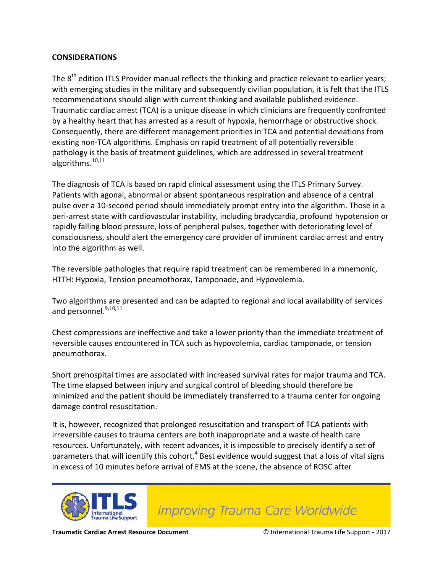#### **CONSIDERATIONS**

The 8<sup>th</sup> edition ITLS Provider manual reflects the thinking and practice relevant to earlier years; with emerging studies in the military and subsequently civilian population, it is felt that the ITLS recommendations should align with current thinking and available published evidence. Traumatic cardiac arrest (TCA) is a unique disease in which clinicians are frequently confronted by a healthy heart that has arrested as a result of hypoxia, hemorrhage or obstructive shock. Consequently, there are different management priorities in TCA and potential deviations from existing non-TCA algorithms. Emphasis on rapid treatment of all potentially reversible pathology is the basis of treatment guidelines, which are addressed in several treatment algorithms.<sup>10,11</sup>

The diagnosis of TCA is based on rapid clinical assessment using the ITLS Primary Survey. Patients with agonal, abnormal or absent spontaneous respiration and absence of a central pulse over a 10-second period should immediately prompt entry into the algorithm. Those in a peri-arrest state with cardiovascular instability, including bradycardia, profound hypotension or rapidly falling blood pressure, loss of peripheral pulses, together with deteriorating level of consciousness, should alert the emergency care provider of imminent cardiac arrest and entry into the algorithm as well.

The reversible pathologies that require rapid treatment can be remembered in a mnemonic, HTTH: Hypoxia, Tension pneumothorax, Tamponade, and Hypovolemia.

Two algorithms are presented and can be adapted to regional and local availability of services and personnel.<sup>9,10,11</sup>

Chest compressions are ineffective and take a lower priority than the immediate treatment of reversible causes encountered in TCA such as hypovolemia, cardiac tamponade, or tension pneumothorax.

Short prehospital times are associated with increased survival rates for major trauma and TCA. The time elapsed between injury and surgical control of bleeding should therefore be minimized and the patient should be immediately transferred to a trauma center for ongoing damage control resuscitation.

It is, however, recognized that prolonged resuscitation and transport of TCA patients with irreversible causes to trauma centers are both inappropriate and a waste of health care resources. Unfortunately, with recent advances, it is impossible to precisely identify a set of parameters that will identify this cohort.<sup>4</sup> Best evidence would suggest that a loss of vital signs in excess of 10 minutes before arrival of EMS at the scene, the absence of ROSC after



**Improving Trauma Care Worldwide**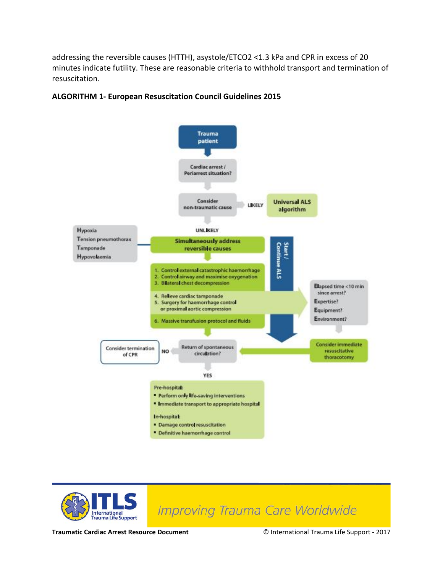addressing the reversible causes (HTTH), asystole/ETCO2 <1.3 kPa and CPR in excess of 20 minutes indicate futility. These are reasonable criteria to withhold transport and termination of resuscitation.







# Improving Trauma Care Worldwide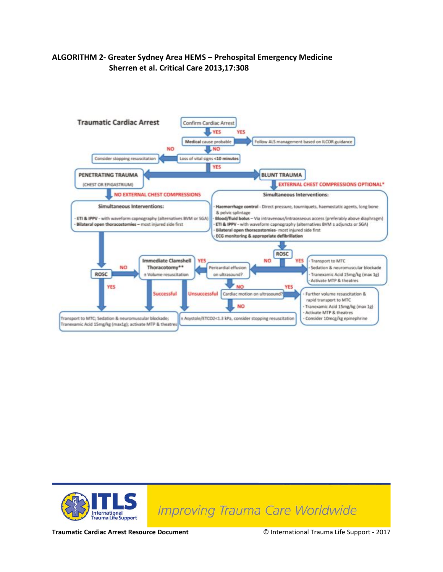#### **ALGORITHM 2- Greater Sydney Area HEMS – Prehospital Emergency Medicine Sherren et al. Critical Care 2013,17:308**





**Improving Trauma Care Worldwide**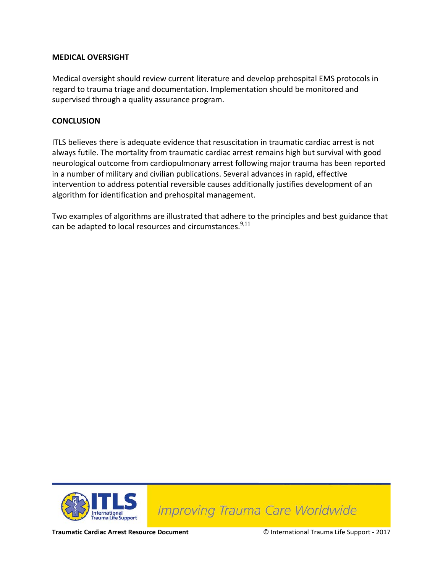#### **MEDICAL OVERSIGHT**

Medical oversight should review current literature and develop prehospital EMS protocols in regard to trauma triage and documentation. Implementation should be monitored and supervised through a quality assurance program.

#### **CONCLUSION**

ITLS believes there is adequate evidence that resuscitation in traumatic cardiac arrest is not always futile. The mortality from traumatic cardiac arrest remains high but survival with good neurological outcome from cardiopulmonary arrest following major trauma has been reported in a number of military and civilian publications. Several advances in rapid, effective intervention to address potential reversible causes additionally justifies development of an algorithm for identification and prehospital management.

Two examples of algorithms are illustrated that adhere to the principles and best guidance that can be adapted to local resources and circumstances.<sup>9,11</sup>



**Improving Trauma Care Worldwide**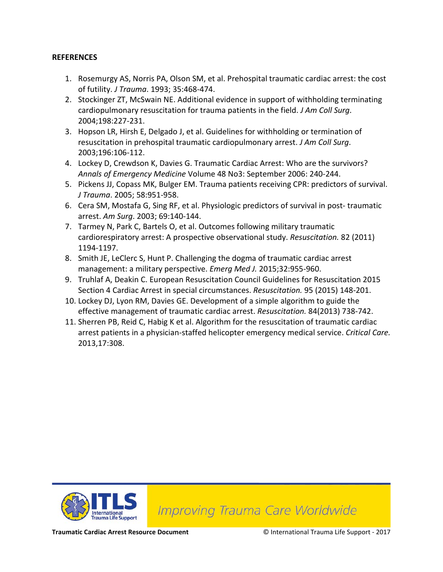#### **REFERENCES**

- 1. Rosemurgy AS, Norris PA, Olson SM, et al. Prehospital traumatic cardiac arrest: the cost of futility. *J Trauma*. 1993; 35:468-474.
- 2. Stockinger ZT, McSwain NE. Additional evidence in support of withholding terminating cardiopulmonary resuscitation for trauma patients in the field. *J Am Coll Surg*. 2004;198:227-231.
- 3. Hopson LR, Hirsh E, Delgado J, et al. Guidelines for withholding or termination of resuscitation in prehospital traumatic cardiopulmonary arrest. *J Am Coll Surg*. 2003;196:106-112.
- 4. Lockey D, Crewdson K, Davies G. Traumatic Cardiac Arrest: Who are the survivors? *Annals of Emergency Medicine* Volume 48 No3: September 2006: 240-244.
- 5. Pickens JJ, Copass MK, Bulger EM. Trauma patients receiving CPR: predictors of survival. *J Trauma*. 2005; 58:951-958.
- 6. Cera SM, Mostafa G, Sing RF, et al. Physiologic predictors of survival in post- traumatic arrest. *Am Surg*. 2003; 69:140-144.
- 7. Tarmey N, Park C, Bartels O, et al. Outcomes following military traumatic cardiorespiratory arrest: A prospective observational study. *Resuscitation.* 82 (2011) 1194-1197.
- 8. Smith JE, LeClerc S, Hunt P. Challenging the dogma of traumatic cardiac arrest management: a military perspective. *Emerg Med J.* 2015;32:955-960.
- 9. Truhlaf A, Deakin C. European Resuscitation Council Guidelines for Resuscitation 2015 Section 4 Cardiac Arrest in special circumstances. *Resuscitation.* 95 (2015) 148-201.
- 10. Lockey DJ, Lyon RM, Davies GE. Development of a simple algorithm to guide the effective management of traumatic cardiac arrest. *Resuscitation.* 84(2013) 738-742.
- 11. Sherren PB, Reid C, Habig K et al. Algorithm for the resuscitation of traumatic cardiac arrest patients in a physician-staffed helicopter emergency medical service. *Critical Care.* 2013,17:308.



**Improving Trauma Care Worldwide**